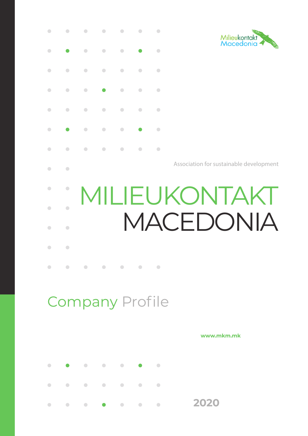

### Company Profile

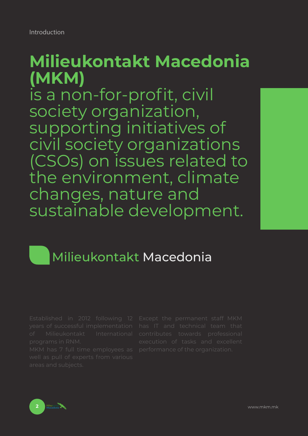### **Milieukontakt Macedonia (MKM)**

is a non-for-profit, civil society organization, supporting initiatives of civil society organizations (CSOs) on issues related to the environment, climate changes, nature and sustainable development.

### Milieukontakt Macedonia

execution of tasks and excellent

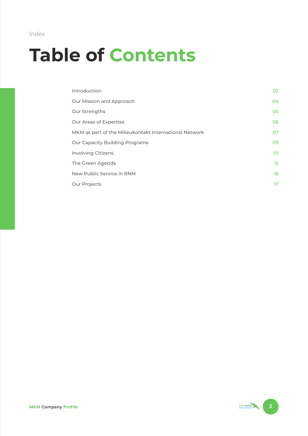Index

# **Table of Contents**

| Introduction                                           | 02              |
|--------------------------------------------------------|-----------------|
| Our Mission and Approach                               | 04              |
| Our Strengths                                          | 05              |
| Our Areas of Expertise                                 | 06              |
| MKM as part of the Milieukontakt International Network | 07              |
| <b>Our Capacity Building Programs</b>                  | 09              |
| <b>Involving Citizens</b>                              | 10 <sup>°</sup> |
| The Green Agenda                                       | 12              |
| New Public Service in RNM                              | 16              |
| <b>Our Projects</b>                                    | 17              |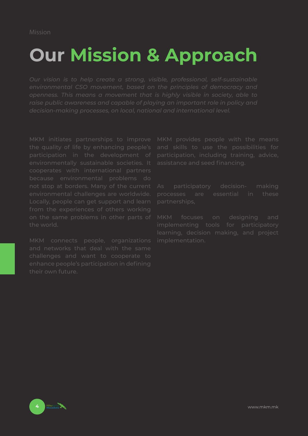# **Our Mission & Approach**

*Our vision is to help create a strong, visible, professional, self-sustainable openness. This means a movement that is highly visible in society, able to*  raise public awareness and capable of playing an important role in policy and *decision-making processes, on local, national and international level.*

MKM initiates partnerships to improve participation in the development of cooperates with international partners because environmental problems do Locally, people can get support and learn the world.

enhance people's participation in defining their own future.

MKM provides people with the means and skills to use the possibilities for participation, including training, advice, assistance and seed financing.

processes are essential in these partnerships,

MKM focuses on designing and implementing tools for participatory

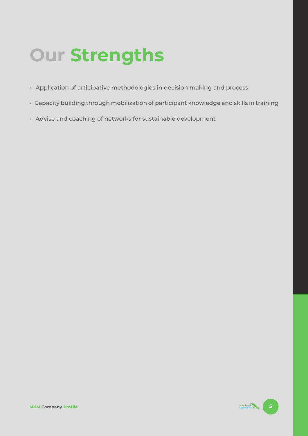# **Our Strengths**

- Application of articipative methodologies in decision making and process
- Capacity building through mobilization of participant knowledge and skills in training
- Advise and coaching of networks for sustainable development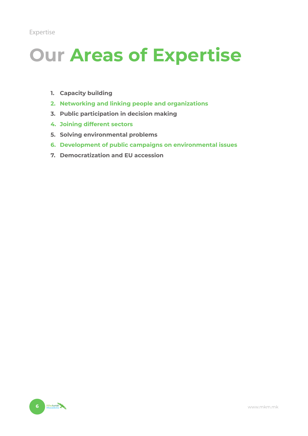# **Our Areas of Expertise**

- **1. Capacity building**
- **2. Networking and linking people and organizations**
- **3. Public participation in decision making**
- **4. Joining different sectors**
- **5. Solving environmental problems**
- **6. Development of public campaigns on environmental issues**
- **7. Democratization and EU accession**

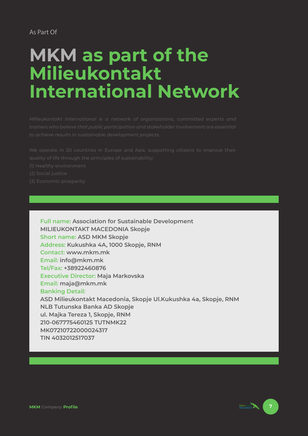#### As Part Of

### **MKM as part of the Milieukontakt International Network**

**Full name: Association for Sustainable Development MILIEUKONTAKT MACEDONIA Skopje Short name: ASD MKM Skopje Address: Kukushka 4A, 1000 Skopje, RNM Contact: www.mkm.mk Email: info@mkm.mk Tel/Fax: +38922460876 Executive Director: Maja Markovska Email: maja@mkm.mk Banking Detail: ASD Milieukontakt Macedonia, Skopje Ul.Kukushka 4a, Skopje, RNM NLB Tutunska Banka AD Skopje ul. Majka Tereza 1, Skopje, RNM 210-067775460125 TUTNMK22 MK07210722000024317 TIN 4032012517037**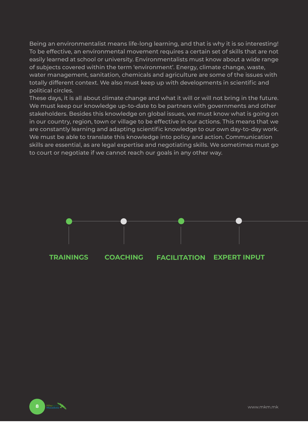Being an environmentalist means life-long learning, and that is why it is so interesting! To be effective, an environmental movement requires a certain set of skills that are not easily learned at school or university. Environmentalists must know about a wide range of subjects covered within the term 'environment'. Energy, climate change, waste, water management, sanitation, chemicals and agriculture are some of the issues with totally different context. We also must keep up with developments in scientific and political circles.

These days, it is all about climate change and what it will or will not bring in the future. We must keep our knowledge up-to-date to be partners with governments and other stakeholders. Besides this knowledge on global issues, we must know what is going on in our country, region, town or village to be effective in our actions. This means that we are constantly learning and adapting scientific knowledge to our own day-to-day work. We must be able to translate this knowledge into policy and action. Communication skills are essential, as are legal expertise and negotiating skills. We sometimes must go to court or negotiate if we cannot reach our goals in any other way.



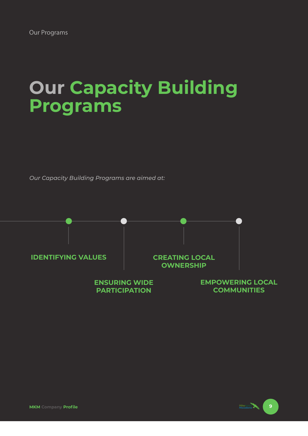### **Our Capacity Building Programs**

*Our Capacity Building Programs are aimed at:*



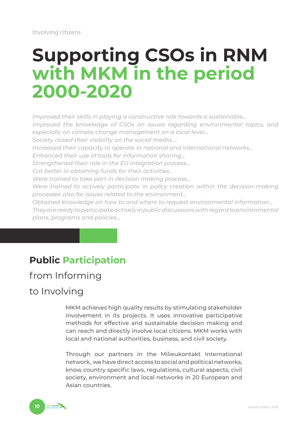### **Supporting CSOs in RNM with MKM in the period 2000-2020**

*Improved their skills in playing a constructive role towards a sustainable... Improved the knowledge of CSOs on issues regarding environmental topics, and especially on climate change management on a local level... Society raised their visibility on the social media.... Increased their capacity to operate in national and international networks... Enhanced their use of tools for information sharing... Strengthened their role in the EU integration process... Got better in obtaining funds for their activities... Were trained to take part in decision making process... Were trained to actively participate in policy creation within the decision-making processes also for issues related to the environment... Obtained knowledge on how to and where to request environmental information... They are ready to participate actively in public discussions with regard to environmental plans, programs and policies...*

### **Public Participation**

from Informing

### to Involving

MKM achieves high quality results by stimulating stakeholder involvement in its projects. It uses innovative participative methods for effective and sustainable decision making and can reach and directly involve local citizens. MKM works with local and national authorities, business, and civil society.

Through our partners in the Milieukontakt International network, we have direct access to social and political networks, know country specific laws, regulations, cultural aspects, civil society, environment and local networks in 20 European and Asian countries.

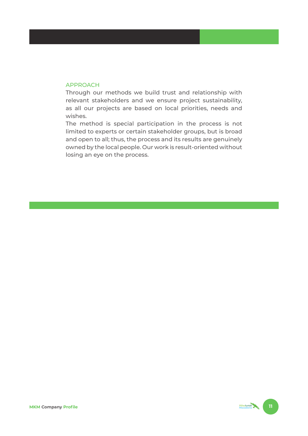#### APPROACH

Through our methods we build trust and relationship with relevant stakeholders and we ensure project sustainability, as all our projects are based on local priorities, needs and wishes.

The method is special participation in the process is not limited to experts or certain stakeholder groups, but is broad and open to all; thus, the process and its results are genuinely owned by the local people. Our work is result-oriented without losing an eye on the process.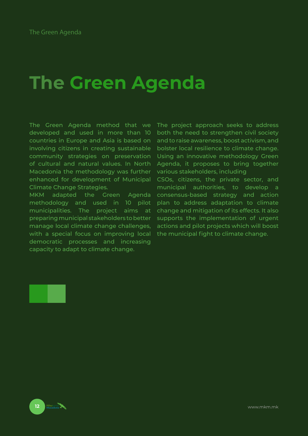### **The Green Agenda**

The Green Agenda method that we developed and used in more than 10 countries in Europe and Asia is based on involving citizens in creating sustainable community strategies on preservation of cultural and natural values. In North Macedonia the methodology was further enhanced for development of Municipal Climate Change Strategies.

MKM adapted the Green Agenda methodology and used in 10 pilot municipalities. The project aims at preparing municipal stakeholders to better manage local climate change challenges, with a special focus on improving local democratic processes and increasing capacity to adapt to climate change.

The project approach seeks to address both the need to strengthen civil society and to raise awareness, boost activism, and bolster local resilience to climate change. Using an innovative methodology Green Agenda, it proposes to bring together various stakeholders, including CSOs, citizens, the private sector, and

municipal authorities, to develop a consensus-based strategy and action plan to address adaptation to climate change and mitigation of its effects. It also supports the implementation of urgent actions and pilot projects which will boost the municipal fight to climate change.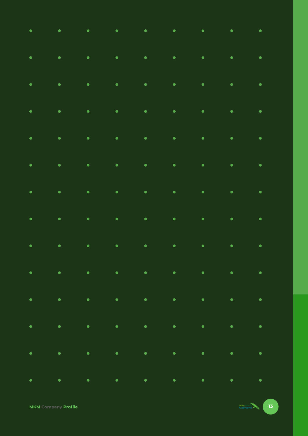|                                                                          |                                                                                                                                                                                                                                      |                                                                                                                    |  |                           | $\bullet$ and $\bullet$ and $\bullet$ and $\bullet$ and $\bullet$ and $\bullet$ and $\bullet$ and $\bullet$ and $\bullet$ and $\bullet$ and $\bullet$ and $\bullet$                                                                  |  |
|--------------------------------------------------------------------------|--------------------------------------------------------------------------------------------------------------------------------------------------------------------------------------------------------------------------------------|--------------------------------------------------------------------------------------------------------------------|--|---------------------------|--------------------------------------------------------------------------------------------------------------------------------------------------------------------------------------------------------------------------------------|--|
|                                                                          |                                                                                                                                                                                                                                      |                                                                                                                    |  |                           |                                                                                                                                                                                                                                      |  |
|                                                                          |                                                                                                                                                                                                                                      |                                                                                                                    |  |                           |                                                                                                                                                                                                                                      |  |
| $\bullet$                                                                |                                                                                                                                                                                                                                      |                                                                                                                    |  |                           | <u>in the contract of the contract of the contract of the contract of the contract of the contract of the contract of the contract of the contract of the contract of the contract of the contract of the contract of the contra</u> |  |
| $\bullet$<br>$\mathcal{L}_{\text{max}}$ , and $\mathcal{L}_{\text{max}}$ | <u>in the contract of the contract of the contract of the contract of the contract of the contract of the contract of the contract of the contract of the contract of the contract of the contract of the contract of the contra</u> |                                                                                                                    |  |                           | $\mathcal{L}_{\text{max}}$ and $\mathcal{L}_{\text{max}}$                                                                                                                                                                            |  |
| $\bullet$<br><b>Service</b>                                              |                                                                                                                                                                                                                                      |                                                                                                                    |  |                           | $\mathcal{L}_{\text{max}}$ and $\mathcal{L}_{\text{max}}$                                                                                                                                                                            |  |
| $\bullet$<br>$\mathcal{L}_{\text{max}}$ , and $\mathcal{L}_{\text{max}}$ |                                                                                                                                                                                                                                      | $\bullet \qquad \bullet \qquad \bullet \qquad \bullet \qquad \bullet \qquad \bullet \qquad \bullet \qquad \bullet$ |  | $\bullet$ , and $\bullet$ | <b>Altan o</b><br>$\bullet$                                                                                                                                                                                                          |  |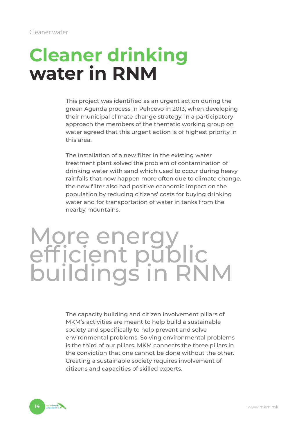## **Cleaner drinking water in RNM**

This project was identified as an urgent action during the green Agenda process in Pehcevo in 2013, when developing their municipal climate change strategy. in a participatory approach the members of the thematic working group on water agreed that this urgent action is of highest priority in this area.

The installation of a new filter in the existing water treatment plant solved the problem of contamination of drinking water with sand which used to occur during heavy rainfalls that now happen more often due to climate change. the new filter also had positive economic impact on the population by reducing citizens' costs for buying drinking water and for transportation of water in tanks from the nearby mountains.

## More energy efficient public buildings in RNM

The capacity building and citizen involvement pillars of MKM's activities are meant to help build a sustainable society and specifically to help prevent and solve environmental problems. Solving environmental problems is the third of our pillars. MKM connects the three pillars in the conviction that one cannot be done without the other. Creating a sustainable society requires involvement of citizens and capacities of skilled experts.

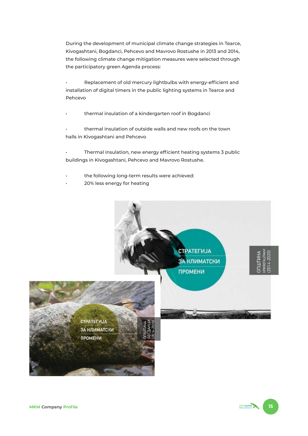During the development of municipal climate change strategies in Tearce, Kivogashtani, Bogdanci, Pehcevo and Mavrovo Rostushe in 2013 and 2014, the following climate change mitigation measures were selected through the participatory green Agenda process:

• Replacement of old mercury lightbulbs with energy-efficient and installation of digital timers in the public lighting systems in Tearce and Pehcevo

• thermal insulation of a kindergarten roof in Bogdanci

• thermal insulation of outside walls and new roofs on the town halls in Kivogashtani and Pehcevo

• Thermal insulation, new energy efficient heating systems 3 public buildings in Kivogashtani, Pehcevo and Mavrovo Rostushe.

- the following long-term results were achieved:
- 20% less energy for heating

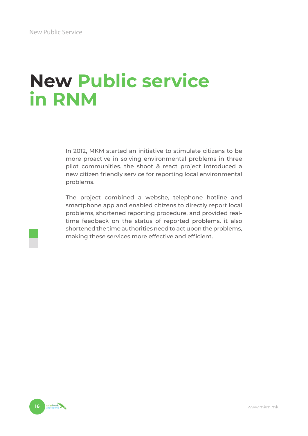### **New Public service in RNM**

In 2012, MKM started an initiative to stimulate citizens to be more proactive in solving environmental problems in three pilot communities. the shoot & react project introduced a new citizen friendly service for reporting local environmental problems.

The project combined a website, telephone hotline and smartphone app and enabled citizens to directly report local problems, shortened reporting procedure, and provided realtime feedback on the status of reported problems. it also shortened the time authorities need to act upon the problems, making these services more effective and efficient.

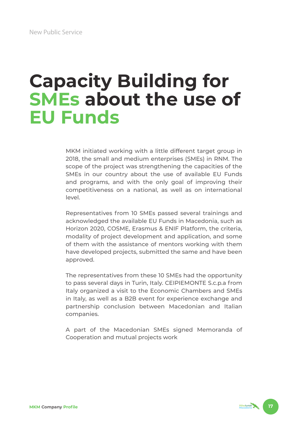### **Capacity Building for SMEs about the use of EU Funds**

MKM initiated working with a little different target group in 2018, the small and medium enterprises (SMEs) in RNM. The scope of the project was strengthening the capacities of the SMEs in our country about the use of available EU Funds and programs, and with the only goal of improving their competitiveness on a national, as well as on international level.

Representatives from 10 SMEs passed several trainings and acknowledged the available EU Funds in Macedonia, such as Horizon 2020, COSME, Erasmus & ENIF Platform, the criteria, modality of project development and application, and some of them with the assistance of mentors working with them have developed projects, submitted the same and have been approved.

The representatives from these 10 SMEs had the opportunity to pass several days in Turin, Italy. CEIPIEMONTE S.c.p.a from Italy organized a visit to the Economic Chambers and SMEs in Italy, as well as a B2B event for experience exchange and partnership conclusion between Macedonian and Italian companies.

A part of the Macedonian SMEs signed Memoranda of Cooperation and mutual projects work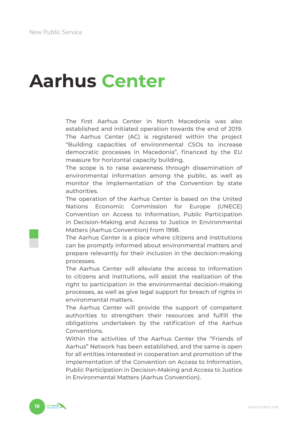### **Aarhus Center**

The first Aarhus Center in North Macedonia was also established and initiated operation towards the end of 2019. The Aarhus Center (AC) is registered within the project "Building capacities of environmental CSOs to increase democratic processes in Macedonia", financed by the EU measure for horizontal capacity building.

The scope is to raise awareness through dissemination of environmental information among the public, as well as monitor the implementation of the Convention by state authorities.

The operation of the Aarhus Center is based on the United Nations Economic Commission for Europe (UNECE) Convention on Access to Information, Public Participation in Decision-Making and Access to Justice in Environmental Matters (Aarhus Convention) from 1998.

The Aarhus Center is a place where citizens and institutions can be promptly informed about environmental matters and prepare relevantly for their inclusion in the decision-making processes.

The Aarhus Center will alleviate the access to information to citizens and institutions, will assist the realization of the right to participation in the environmental decision-making processes, as well as give legal support for breach of rights in environmental matters.

The Aarhus Center will provide the support of competent authorities to strengthen their resources and fulfill the obligations undertaken by the ratification of the Aarhus Conventions.

Within the activities of the Aarhus Center the "Friends of Aarhus" Network has been established, and the same is open for all entities interested in cooperation and promotion of the implementation of the Convention on Access to Information, Public Participation in Decision-Making and Access to Justice in Environmental Matters (Aarhus Convention).

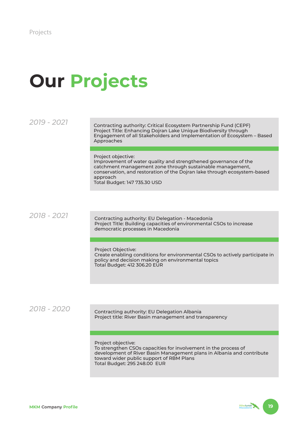## **Our Projects**

#### *2019 - 2021*

Contracting authority: Critical Ecosystem Partnership Fund (CEPF) Project Title: Enhancing Dojran Lake Unique Biodiversity through Engagement of all Stakeholders and Implementation of Ecosystem – Based **Approaches** 

### Project objective:

Improvement of water quality and strengthened governance of the catchment management zone through sustainable management, conservation, and restoration of the Dojran lake through ecosystem-based approach Total Budget: 147 735.30 USD

#### *2018 - 2021*

Contracting authority: EU Delegation - Macedonia Project Title: Building capacities of environmental CSOs to increase democratic processes in Macedonia

Project Objective: Create enabling conditions for environmental CSOs to actively participate in policy and decision making on environmental topics Total Budget: 412 306.20 EUR

*2018 - 2020*

Contracting authority: EU Delegation Albania Project title: River Basin management and transparency

Project objective:

To strengthen CSOs capacities for involvement in the process of development of River Basin Management plans in Albania and contribute toward wider public support of RBM Plans Total Budget: 295 248.00 EUR

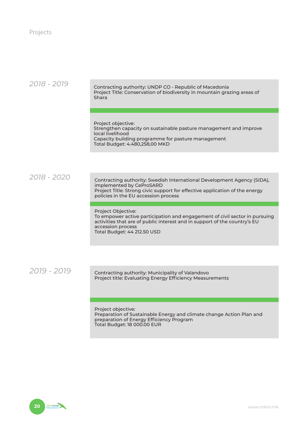| 2018 - 2019 | Contracting authority: UNDP CO - Republic of Macedonia<br>Project Title: Conservation of biodiversity in mountain grazing areas of<br>Shara                                                                                       |
|-------------|-----------------------------------------------------------------------------------------------------------------------------------------------------------------------------------------------------------------------------------|
|             | Project objective:<br>Strengthen capacity on sustainable pasture management and improve<br>local livelihood<br>Capacity building programme for pasture management<br>Total Budget: 4.480,258,00 MKD                               |
|             |                                                                                                                                                                                                                                   |
| 2018 - 2020 | Contracting authority: Swedish International Development Agency (SIDA),<br>implemented by CeProSARD<br>Project Title: Strong civic support for effective application of the energy<br>policies in the EU accession process        |
|             | Project Objective:<br>To empower active participation and engagement of civil sector in pursuing<br>activities that are of public interest and in support of the country's EU<br>accession process<br>Total Budget: 44 212.50 USD |
|             |                                                                                                                                                                                                                                   |
| 2019 - 2019 | Contracting authority: Municipality of Valandovo<br>Project title: Evaluating Energy Efficiency Measurements                                                                                                                      |
|             | Project objective:<br>Preparation of Sustainable Energy and climate change Action Plan and                                                                                                                                        |
|             | preparation of Energy Efficiency Program<br>Total Budget: 18 000.00 EUR                                                                                                                                                           |

**20** Willieukohnold Waterconia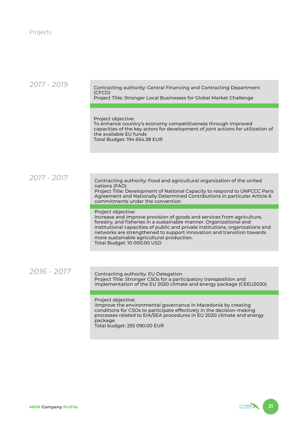|  | ____ |  |
|--|------|--|

| 2017 - 2019 | Contracting authority: Central Financing and Contracting Department<br>(CFCD)<br>Project Title: Stronger Local Businesses for Global Market Challenge                                                                                                                                                                                                                                                       |
|-------------|-------------------------------------------------------------------------------------------------------------------------------------------------------------------------------------------------------------------------------------------------------------------------------------------------------------------------------------------------------------------------------------------------------------|
|             | Project objective:<br>To enhance country's economy competitiveness through improved<br>capacities of the key actors for development of joint actions for utilization of<br>the available EU funds<br>Total Budget: 194 654.38 EUR                                                                                                                                                                           |
|             |                                                                                                                                                                                                                                                                                                                                                                                                             |
| 2017 - 2017 | Contracting authority: Food and agricultural organization of the united<br>nations (FAO)<br>Project Title: Development of National Capacity to respond to UNFCCC Paris<br>Agreement and Nationally Determined Contributions in particular Article 6<br>commitments under the convention                                                                                                                     |
|             | Project objective:<br>Increase and improve provision of goods and services from agriculture,<br>forestry, and fisheries in a sustainable manner. Organizational and<br>institutional capacities of public and private institutions, organizations and<br>networks are strengthened to support innovation and transition towards<br>more sustainable agricultural production.<br>Total Budget: 10 000.00 USD |
|             |                                                                                                                                                                                                                                                                                                                                                                                                             |
| 2016 - 2017 | Contracting authority: EU Delegation<br>Project Title: Stronger CSOs for a participatory transposition and<br>implementation of the EU 2020 climate and energy package (CEEU2020)                                                                                                                                                                                                                           |
|             | Project objective:<br>ilmprove the environmental governance in Macedonia by creating<br>conditions for CSOs to participate effectively in the decision-making<br>processes related to EIA/SEA procedures in EU 2020 climate and energy<br>package<br>Total budget: 255 090.00 EUR                                                                                                                           |
|             |                                                                                                                                                                                                                                                                                                                                                                                                             |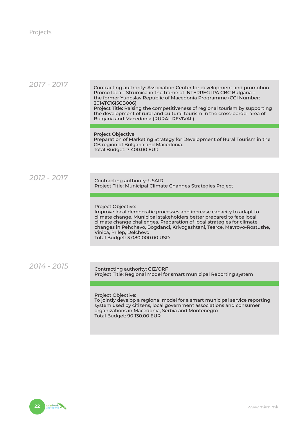| 2017 - 2017 | Contracting authority: Association Center for development and promotion<br>Promo Idea - Strumica in the frame of INTERREG IPA CBC Bulgaria -<br>the former Yugoslav Republic of Macedonia Programme (CCI Number:<br>2014TC16I5CB006)<br>Project Title: Raising the competitiveness of regional tourism by supporting<br>the development of rural and cultural tourism in the cross-border area of<br><b>Bulgaria and Macedonia (RURAL REVIVAL)</b> |
|-------------|----------------------------------------------------------------------------------------------------------------------------------------------------------------------------------------------------------------------------------------------------------------------------------------------------------------------------------------------------------------------------------------------------------------------------------------------------|
|             | Project Objective:<br>Preparation of Marketing Strategy for Development of Rural Tourism in the<br>CB region of Bulgaria and Macedonia.<br>Total Budget: 7 400.00 EUR                                                                                                                                                                                                                                                                              |
|             |                                                                                                                                                                                                                                                                                                                                                                                                                                                    |
| 2012 - 2017 | Contracting authority: USAID<br>Project Title: Municipal Climate Changes Strategies Project                                                                                                                                                                                                                                                                                                                                                        |
|             | Project Objective:                                                                                                                                                                                                                                                                                                                                                                                                                                 |
|             | Improve local democratic processes and increase capacity to adapt to<br>climate change. Municipal stakeholders better prepared to face local<br>climate change challenges. Preparation of local strategies for climate                                                                                                                                                                                                                             |
|             | changes in Pehchevo, Bogdanci, Krivogashtani, Tearce, Mavrovo-Rostushe,<br>Vinica, Prilep, Delchevo<br>Total Budget: 3 080 000.00 USD                                                                                                                                                                                                                                                                                                              |
|             |                                                                                                                                                                                                                                                                                                                                                                                                                                                    |
| 2014 - 2015 | Contracting authority: GIZ/ORF<br>Project Title: Regional Model for smart municipal Reporting system                                                                                                                                                                                                                                                                                                                                               |
|             | Project Objective:<br>To jointly develop a regional model for a smart municipal service reporting<br>system used by citizens, local government associations and consumer<br>organizations in Macedonia, Serbia and Montenegro<br>Total Budget: 90 130.00 EUR                                                                                                                                                                                       |

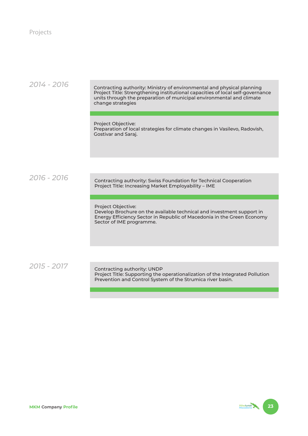| 2014 - 2016 | Contracting authority: Ministry of environmental and physical planning<br>Project Title: Strengthening institutional capacities of local self-governance<br>units through the preparation of municipal environmental and climate<br>change strategies |
|-------------|-------------------------------------------------------------------------------------------------------------------------------------------------------------------------------------------------------------------------------------------------------|
|             | Project Objective:<br>Preparation of local strategies for climate changes in Vasilevo, Radovish,<br>Gostivar and Sarai.                                                                                                                               |
|             |                                                                                                                                                                                                                                                       |
| 2016 - 2016 | Contracting authority: Swiss Foundation for Technical Cooperation<br>Project Title: Increasing Market Employability - IME                                                                                                                             |
|             | Project Objective:<br>Develop Brochure on the available technical and investment support in<br>Energy Efficiency Sector in Republic of Macedonia in the Green Economy<br>Sector of IME programme.                                                     |
|             |                                                                                                                                                                                                                                                       |
| 2015 - 2017 | Contracting authority: UNDP<br>Project Title: Supporting the operationalization of the Integrated Pollution<br>Prevention and Control System of the Strumica river basin.                                                                             |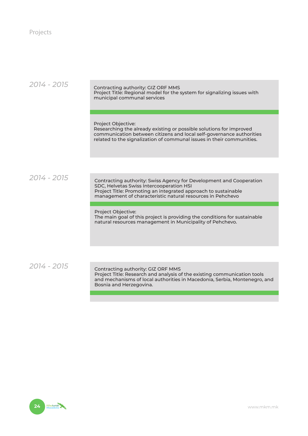| 2014 - 2015   | Contracting authority: GIZ ORF MMS<br>Project Title: Regional model for the system for signalizing issues with<br>municipal communal services                                                                                                   |
|---------------|-------------------------------------------------------------------------------------------------------------------------------------------------------------------------------------------------------------------------------------------------|
|               | Project Objective:<br>Researching the already existing or possible solutions for improved<br>communication between citizens and local self-governance authorities<br>related to the signalization of communal issues in their communities.      |
|               |                                                                                                                                                                                                                                                 |
| $2014 - 2015$ | Contracting authority: Swiss Agency for Development and Cooperation<br>SDC, Helvetas Swiss Intercooperation HSI<br>Project Title: Promoting an integrated approach to sustainable<br>management of characteristic natural resources in Pehchevo |
|               | Project Objective:<br>The main goal of this project is providing the conditions for sustainable<br>natural resources management in Municipality of Pehchevo.                                                                                    |
|               |                                                                                                                                                                                                                                                 |
| 2014 - 2015   | Contracting authority: GIZ ORF MMS<br>Project Title: Research and analysis of the existing communication tools<br>and mechanisms of local authorities in Macedonia, Serbia, Montenegro, and<br>Bosnia and Herzegovina.                          |
|               |                                                                                                                                                                                                                                                 |

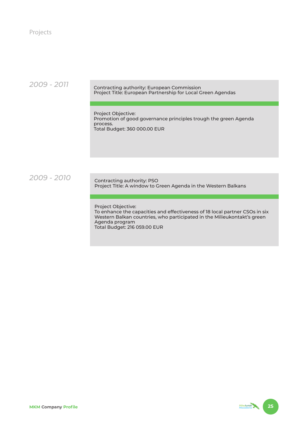| the contract of the contract of the | ____ |  |
|-------------------------------------|------|--|

| 2009 |  | 2011 |  |
|------|--|------|--|
|      |  |      |  |

Contracting authority: European Commission Project Title: European Partnership for Local Green Agendas

Project Objective:

Promotion of good governance principles trough the green Agenda process. Total Budget: 360 000.00 EUR

*2009 - 2010*

Contracting authority: PSO Project Title: A window to Green Agenda in the Western Balkans

Project Objective:

To enhance the capacities and effectiveness of 18 local partner CSOs in six Western Balkan countries, who participated in the Milieukontakt's green Agenda program Total Budget: 216 059.00 EUR